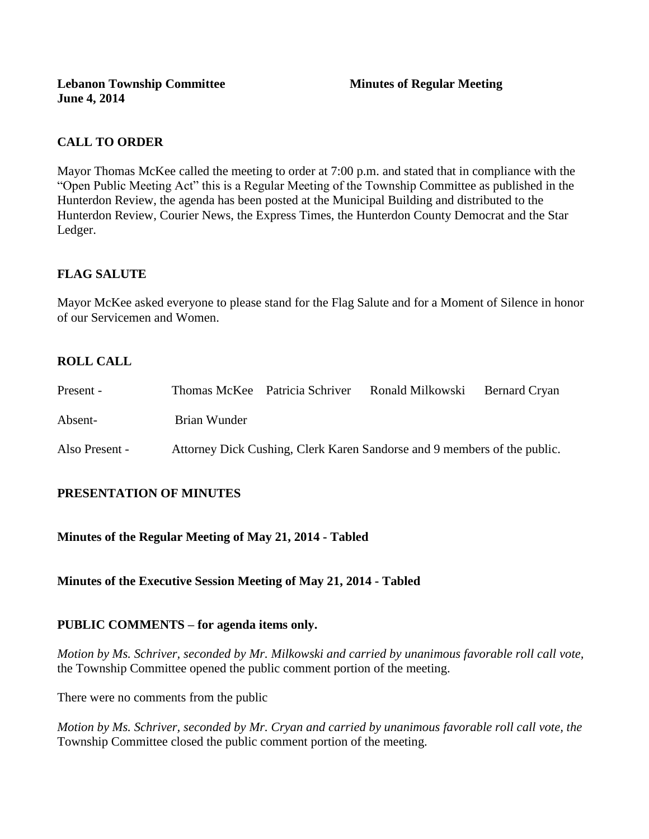# **CALL TO ORDER**

Mayor Thomas McKee called the meeting to order at 7:00 p.m. and stated that in compliance with the "Open Public Meeting Act" this is a Regular Meeting of the Township Committee as published in the Hunterdon Review, the agenda has been posted at the Municipal Building and distributed to the Hunterdon Review, Courier News, the Express Times, the Hunterdon County Democrat and the Star Ledger.

# **FLAG SALUTE**

Mayor McKee asked everyone to please stand for the Flag Salute and for a Moment of Silence in honor of our Servicemen and Women.

# **ROLL CALL**

| Present -      |              | Thomas McKee Patricia Schriver | Ronald Milkowski                                                         | Bernard Cryan |
|----------------|--------------|--------------------------------|--------------------------------------------------------------------------|---------------|
| Absent-        | Brian Wunder |                                |                                                                          |               |
| Also Present - |              |                                | Attorney Dick Cushing, Clerk Karen Sandorse and 9 members of the public. |               |

# **PRESENTATION OF MINUTES**

**Minutes of the Regular Meeting of May 21, 2014 - Tabled**

**Minutes of the Executive Session Meeting of May 21, 2014 - Tabled**

# **PUBLIC COMMENTS – for agenda items only.**

*Motion by Ms. Schriver, seconded by Mr. Milkowski and carried by unanimous favorable roll call vote,*  the Township Committee opened the public comment portion of the meeting.

There were no comments from the public

*Motion by Ms. Schriver, seconded by Mr. Cryan and carried by unanimous favorable roll call vote, the* Township Committee closed the public comment portion of the meeting.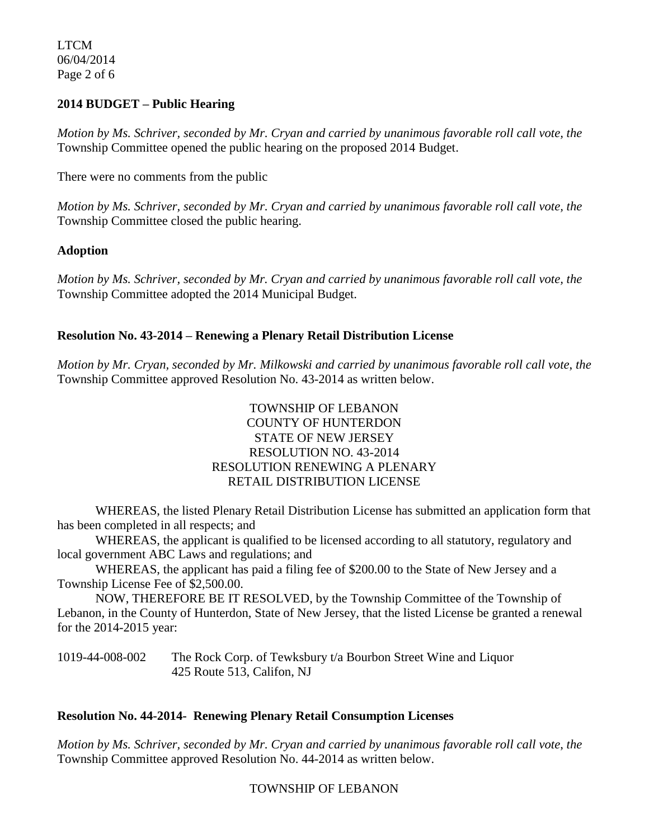LTCM 06/04/2014 Page 2 of 6

### **2014 BUDGET – Public Hearing**

*Motion by Ms. Schriver, seconded by Mr. Cryan and carried by unanimous favorable roll call vote, the* Township Committee opened the public hearing on the proposed 2014 Budget.

There were no comments from the public

*Motion by Ms. Schriver, seconded by Mr. Cryan and carried by unanimous favorable roll call vote, the* Township Committee closed the public hearing.

### **Adoption**

*Motion by Ms. Schriver, seconded by Mr. Cryan and carried by unanimous favorable roll call vote, the* Township Committee adopted the 2014 Municipal Budget.

## **Resolution No. 43-2014 – Renewing a Plenary Retail Distribution License**

*Motion by Mr. Cryan, seconded by Mr. Milkowski and carried by unanimous favorable roll call vote*, *the* Township Committee approved Resolution No. 43-2014 as written below.

## TOWNSHIP OF LEBANON COUNTY OF HUNTERDON STATE OF NEW JERSEY RESOLUTION NO. 43-2014 RESOLUTION RENEWING A PLENARY RETAIL DISTRIBUTION LICENSE

WHEREAS, the listed Plenary Retail Distribution License has submitted an application form that has been completed in all respects; and

WHEREAS, the applicant is qualified to be licensed according to all statutory, regulatory and local government ABC Laws and regulations; and

WHEREAS, the applicant has paid a filing fee of \$200.00 to the State of New Jersey and a Township License Fee of \$2,500.00.

NOW, THEREFORE BE IT RESOLVED, by the Township Committee of the Township of Lebanon, in the County of Hunterdon, State of New Jersey, that the listed License be granted a renewal for the 2014-2015 year:

1019-44-008-002 The Rock Corp. of Tewksbury t/a Bourbon Street Wine and Liquor 425 Route 513, Califon, NJ

### **Resolution No. 44-2014- Renewing Plenary Retail Consumption Licenses**

*Motion by Ms. Schriver, seconded by Mr. Cryan and carried by unanimous favorable roll call vote*, *the* Township Committee approved Resolution No. 44-2014 as written below.

### TOWNSHIP OF LEBANON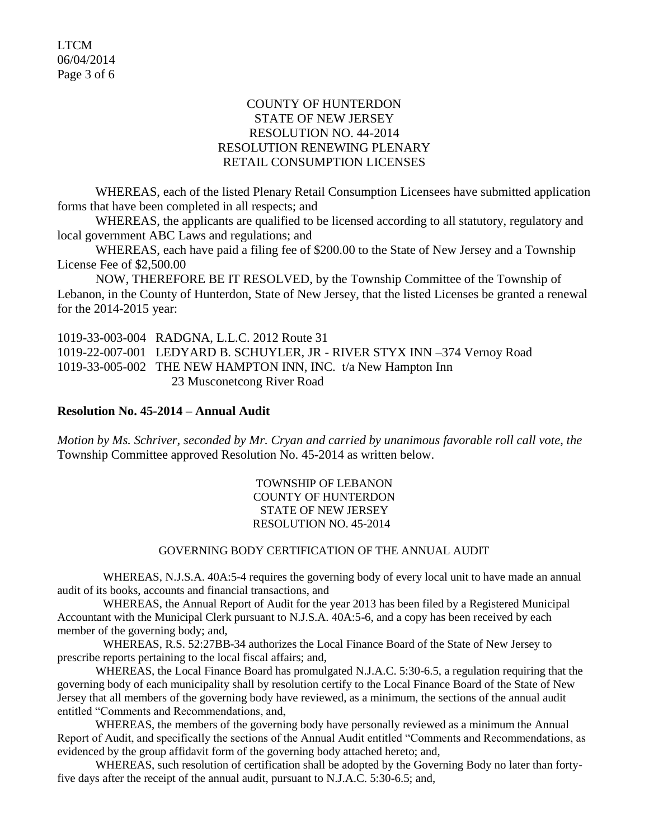### COUNTY OF HUNTERDON STATE OF NEW JERSEY RESOLUTION NO. 44-2014 RESOLUTION RENEWING PLENARY RETAIL CONSUMPTION LICENSES

WHEREAS, each of the listed Plenary Retail Consumption Licensees have submitted application forms that have been completed in all respects; and

WHEREAS, the applicants are qualified to be licensed according to all statutory, regulatory and local government ABC Laws and regulations; and

WHEREAS, each have paid a filing fee of \$200.00 to the State of New Jersey and a Township License Fee of \$2,500.00

NOW, THEREFORE BE IT RESOLVED, by the Township Committee of the Township of Lebanon, in the County of Hunterdon, State of New Jersey, that the listed Licenses be granted a renewal for the 2014-2015 year:

1019-33-003-004 RADGNA, L.L.C. 2012 Route 31 1019-22-007-001 LEDYARD B. SCHUYLER, JR - RIVER STYX INN –374 Vernoy Road 1019-33-005-002 THE NEW HAMPTON INN, INC. t/a New Hampton Inn 23 Musconetcong River Road

### **Resolution No. 45-2014 – Annual Audit**

*Motion by Ms. Schriver, seconded by Mr. Cryan and carried by unanimous favorable roll call vote*, *the* Township Committee approved Resolution No. 45-2014 as written below.

> TOWNSHIP OF LEBANON COUNTY OF HUNTERDON STATE OF NEW JERSEY RESOLUTION NO. 45-2014

### GOVERNING BODY CERTIFICATION OF THE ANNUAL AUDIT

WHEREAS, N.J.S.A. 40A:5-4 requires the governing body of every local unit to have made an annual audit of its books, accounts and financial transactions, and

WHEREAS, the Annual Report of Audit for the year 2013 has been filed by a Registered Municipal Accountant with the Municipal Clerk pursuant to N.J.S.A. 40A:5-6, and a copy has been received by each member of the governing body; and,

WHEREAS, R.S. 52:27BB-34 authorizes the Local Finance Board of the State of New Jersey to prescribe reports pertaining to the local fiscal affairs; and,

WHEREAS, the Local Finance Board has promulgated N.J.A.C. 5:30-6.5, a regulation requiring that the governing body of each municipality shall by resolution certify to the Local Finance Board of the State of New Jersey that all members of the governing body have reviewed, as a minimum, the sections of the annual audit entitled "Comments and Recommendations, and,

WHEREAS, the members of the governing body have personally reviewed as a minimum the Annual Report of Audit, and specifically the sections of the Annual Audit entitled "Comments and Recommendations, as evidenced by the group affidavit form of the governing body attached hereto; and,

WHEREAS, such resolution of certification shall be adopted by the Governing Body no later than fortyfive days after the receipt of the annual audit, pursuant to N.J.A.C. 5:30-6.5; and,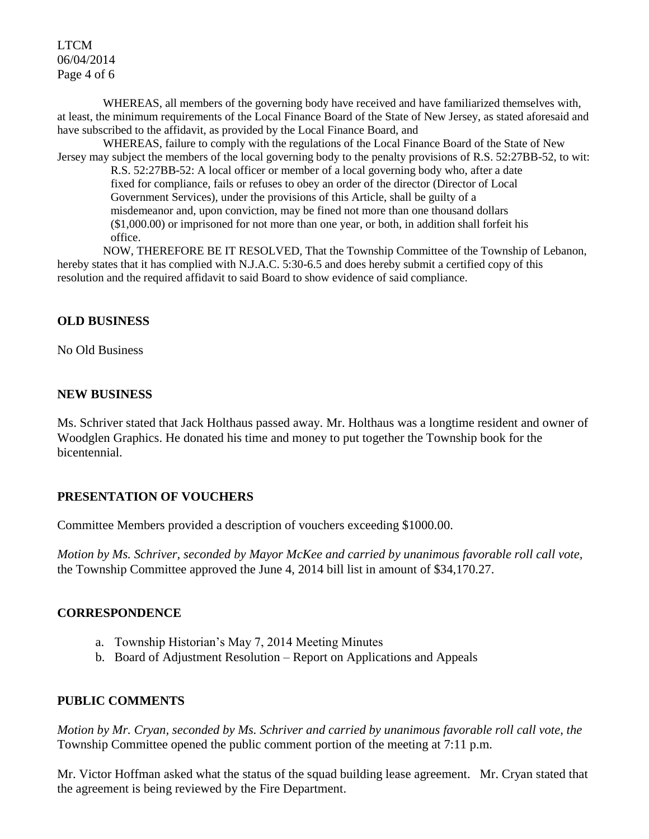## LTCM 06/04/2014 Page 4 of 6

WHEREAS, all members of the governing body have received and have familiarized themselves with, at least, the minimum requirements of the Local Finance Board of the State of New Jersey, as stated aforesaid and have subscribed to the affidavit, as provided by the Local Finance Board, and

WHEREAS, failure to comply with the regulations of the Local Finance Board of the State of New Jersey may subject the members of the local governing body to the penalty provisions of R.S. 52:27BB-52, to wit:

R.S. 52:27BB-52: A local officer or member of a local governing body who, after a date fixed for compliance, fails or refuses to obey an order of the director (Director of Local Government Services), under the provisions of this Article, shall be guilty of a misdemeanor and, upon conviction, may be fined not more than one thousand dollars (\$1,000.00) or imprisoned for not more than one year, or both, in addition shall forfeit his office.

NOW, THEREFORE BE IT RESOLVED, That the Township Committee of the Township of Lebanon, hereby states that it has complied with N.J.A.C. 5:30-6.5 and does hereby submit a certified copy of this resolution and the required affidavit to said Board to show evidence of said compliance.

# **OLD BUSINESS**

No Old Business

## **NEW BUSINESS**

Ms. Schriver stated that Jack Holthaus passed away. Mr. Holthaus was a longtime resident and owner of Woodglen Graphics. He donated his time and money to put together the Township book for the bicentennial.

### **PRESENTATION OF VOUCHERS**

Committee Members provided a description of vouchers exceeding \$1000.00.

*Motion by Ms. Schriver, seconded by Mayor McKee and carried by unanimous favorable roll call vote,* the Township Committee approved the June 4, 2014 bill list in amount of \$34,170.27.

# **CORRESPONDENCE**

- a. Township Historian's May 7, 2014 Meeting Minutes
- b. Board of Adjustment Resolution Report on Applications and Appeals

# **PUBLIC COMMENTS**

*Motion by Mr. Cryan, seconded by Ms. Schriver and carried by unanimous favorable roll call vote, the* Township Committee opened the public comment portion of the meeting at 7:11 p.m.

Mr. Victor Hoffman asked what the status of the squad building lease agreement. Mr. Cryan stated that the agreement is being reviewed by the Fire Department.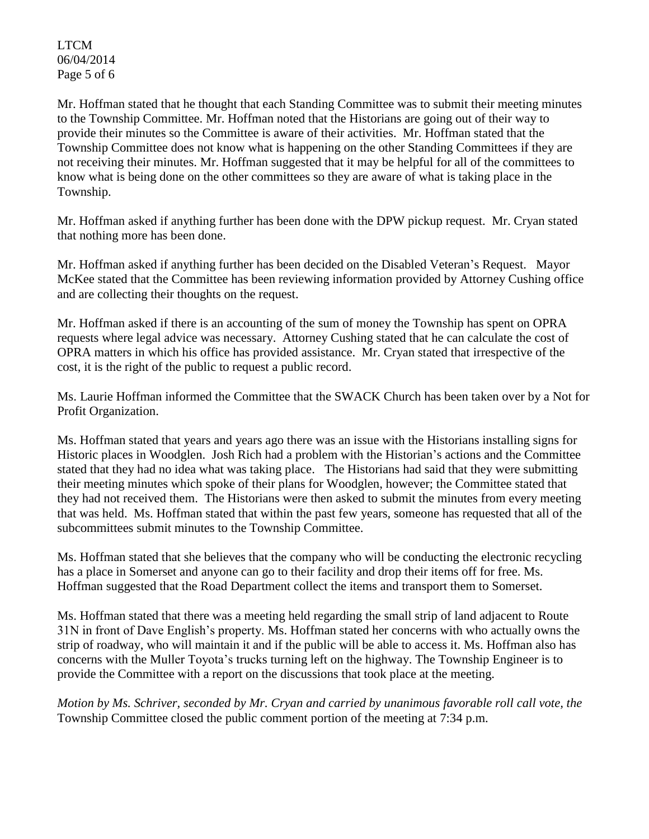LTCM 06/04/2014 Page 5 of 6

Mr. Hoffman stated that he thought that each Standing Committee was to submit their meeting minutes to the Township Committee. Mr. Hoffman noted that the Historians are going out of their way to provide their minutes so the Committee is aware of their activities. Mr. Hoffman stated that the Township Committee does not know what is happening on the other Standing Committees if they are not receiving their minutes. Mr. Hoffman suggested that it may be helpful for all of the committees to know what is being done on the other committees so they are aware of what is taking place in the Township.

Mr. Hoffman asked if anything further has been done with the DPW pickup request. Mr. Cryan stated that nothing more has been done.

Mr. Hoffman asked if anything further has been decided on the Disabled Veteran's Request. Mayor McKee stated that the Committee has been reviewing information provided by Attorney Cushing office and are collecting their thoughts on the request.

Mr. Hoffman asked if there is an accounting of the sum of money the Township has spent on OPRA requests where legal advice was necessary. Attorney Cushing stated that he can calculate the cost of OPRA matters in which his office has provided assistance. Mr. Cryan stated that irrespective of the cost, it is the right of the public to request a public record.

Ms. Laurie Hoffman informed the Committee that the SWACK Church has been taken over by a Not for Profit Organization.

Ms. Hoffman stated that years and years ago there was an issue with the Historians installing signs for Historic places in Woodglen. Josh Rich had a problem with the Historian's actions and the Committee stated that they had no idea what was taking place. The Historians had said that they were submitting their meeting minutes which spoke of their plans for Woodglen, however; the Committee stated that they had not received them. The Historians were then asked to submit the minutes from every meeting that was held. Ms. Hoffman stated that within the past few years, someone has requested that all of the subcommittees submit minutes to the Township Committee.

Ms. Hoffman stated that she believes that the company who will be conducting the electronic recycling has a place in Somerset and anyone can go to their facility and drop their items off for free. Ms. Hoffman suggested that the Road Department collect the items and transport them to Somerset.

Ms. Hoffman stated that there was a meeting held regarding the small strip of land adjacent to Route 31N in front of Dave English's property. Ms. Hoffman stated her concerns with who actually owns the strip of roadway, who will maintain it and if the public will be able to access it. Ms. Hoffman also has concerns with the Muller Toyota's trucks turning left on the highway. The Township Engineer is to provide the Committee with a report on the discussions that took place at the meeting.

*Motion by Ms. Schriver, seconded by Mr. Cryan and carried by unanimous favorable roll call vote, the* Township Committee closed the public comment portion of the meeting at 7:34 p.m.